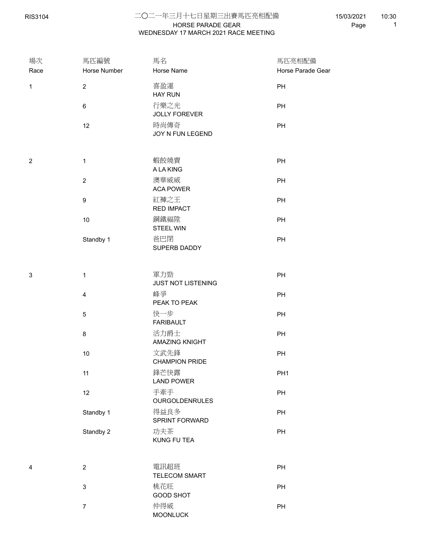RIS3104

## HORSE PARADE GEAR 二○二一年三月十七日星期三出賽馬匹亮相配備 WEDNESDAY 17 MARCH 2021 RACE MEETING

15/03/2021 Page 1 10:30

| 場次<br>Race     | 馬匹編號<br>Horse Number      | 馬名<br>Horse Name              | 馬匹亮相配備<br>Horse Parade Gear |
|----------------|---------------------------|-------------------------------|-----------------------------|
|                |                           |                               |                             |
| $\mathbf{1}$   | $\overline{2}$            | 喜盈運<br><b>HAY RUN</b>         | PH                          |
|                | $\,6\,$                   | 行樂之光<br><b>JOLLY FOREVER</b>  | PH                          |
|                | 12                        | 時尚傳奇<br>JOY N FUN LEGEND      | PH                          |
| $\overline{2}$ | $\mathbf{1}$              | 蝦餃燒賣<br>A LA KING             | PH                          |
|                | $\sqrt{2}$                | 澳華威威<br><b>ACA POWER</b>      | PH                          |
|                | $\boldsymbol{9}$          | 紅褲之王<br><b>RED IMPACT</b>     | PH                          |
|                | $10$                      | 鋼鐵福陞<br><b>STEEL WIN</b>      | PH                          |
|                | Standby 1                 | 爸巴閉<br>SUPERB DADDY           | PH                          |
| $\sqrt{3}$     | $\mathbf{1}$              | 軍力勁                           | PH                          |
|                |                           | JUST NOT LISTENING            |                             |
|                | $\overline{\mathbf{4}}$   | 峰爭<br>PEAK TO PEAK            | PH                          |
|                | $\sqrt{5}$                | 快一步<br><b>FARIBAULT</b>       | PH                          |
|                | $\bf 8$                   | 活力爵士<br>AMAZING KNIGHT        | PH                          |
|                | $10$                      | 文武先鋒<br><b>CHAMPION PRIDE</b> | PH                          |
|                | 11                        | 鋒芒快露<br><b>LAND POWER</b>     | PH <sub>1</sub>             |
|                | 12                        | 手牽手<br><b>OURGOLDENRULES</b>  | PH                          |
|                | Standby 1                 | 得益良多<br>SPRINT FORWARD        | PH                          |
|                | Standby 2                 | 功夫茶<br>KUNG FU TEA            | PH                          |
| 4              | $\overline{2}$            | 電訊超班<br>TELECOM SMART         | PH                          |
|                | $\ensuremath{\mathsf{3}}$ | 桃花旺<br><b>GOOD SHOT</b>       | PH                          |
|                | $\boldsymbol{7}$          | 仲得威<br><b>MOONLUCK</b>        | PH                          |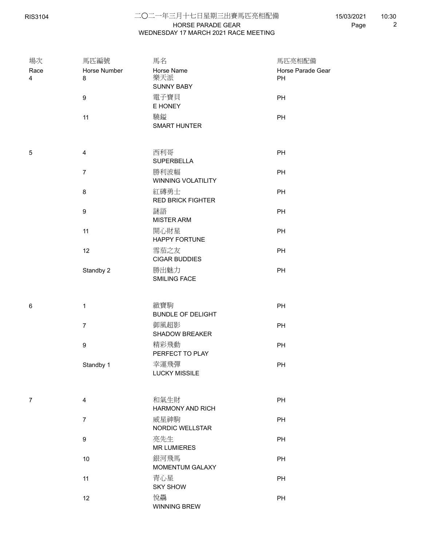## HORSE PARADE GEAR 二○二一年三月十七日星期三出賽馬匹亮相配備 WEDNESDAY 17 MARCH 2021 RACE MEETING

15/03/2021 Page 2 10:30

| 場次             | 馬匹編號                    | 馬名                              | 馬匹亮相配備            |  |
|----------------|-------------------------|---------------------------------|-------------------|--|
| Race           | Horse Number            | Horse Name                      | Horse Parade Gear |  |
| 4              | 8                       | 樂天派                             | PH                |  |
|                |                         | <b>SUNNY BABY</b>               |                   |  |
|                | $\boldsymbol{9}$        | 電子寶貝                            | PH                |  |
|                |                         | E HONEY                         |                   |  |
|                | 11                      | 驍鎰                              | PH                |  |
|                |                         | <b>SMART HUNTER</b>             |                   |  |
|                |                         |                                 |                   |  |
| 5              | $\overline{\mathbf{4}}$ | 西利哥                             | PH                |  |
|                |                         | <b>SUPERBELLA</b>               |                   |  |
|                | $\overline{7}$          | 勝利波幅                            | PH                |  |
|                |                         | WINNING VOLATILITY              |                   |  |
|                | $\bf 8$                 | 紅磚勇士                            | PH                |  |
|                |                         | <b>RED BRICK FIGHTER</b>        |                   |  |
|                | $\boldsymbol{9}$        | 謎語                              | PH                |  |
|                |                         | <b>MISTER ARM</b>               |                   |  |
|                | 11                      | 開心財星                            | PH                |  |
|                |                         | HAPPY FORTUNE                   |                   |  |
|                | 12                      | 雪茄之友                            | PH                |  |
|                |                         | <b>CIGAR BUDDIES</b>            |                   |  |
|                | Standby 2               | 勝出魅力                            | PH                |  |
|                |                         | SMILING FACE                    |                   |  |
|                |                         |                                 |                   |  |
|                |                         |                                 |                   |  |
| 6              | $\mathbf{1}$            | 緻寶駒<br><b>BUNDLE OF DELIGHT</b> | PH                |  |
|                |                         | 御風超影                            |                   |  |
|                | $\boldsymbol{7}$        | <b>SHADOW BREAKER</b>           | PH                |  |
|                |                         | 精彩飛動                            |                   |  |
|                | $\boldsymbol{9}$        | PERFECT TO PLAY                 | PH                |  |
|                | Standby 1               | 幸運飛彈                            | PH                |  |
|                |                         | <b>LUCKY MISSILE</b>            |                   |  |
|                |                         |                                 |                   |  |
|                |                         |                                 |                   |  |
| $\overline{7}$ | $\overline{\mathbf{4}}$ | 和氣生財                            | PH                |  |
|                |                         | <b>HARMONY AND RICH</b>         |                   |  |
|                | $\boldsymbol{7}$        | 威星神駒                            | PH                |  |
|                |                         | NORDIC WELLSTAR                 |                   |  |
|                | $\boldsymbol{9}$        | 亮先生                             | PH                |  |
|                |                         | <b>MR LUMIERES</b>              |                   |  |
|                | $10$                    | 銀河飛馬                            | PH                |  |
|                |                         | MOMENTUM GALAXY                 |                   |  |
|                | 11                      | 青心星                             | PH                |  |
|                |                         | <b>SKY SHOW</b>                 |                   |  |
|                | 12                      | 悅驫                              | PH                |  |
|                |                         | WINNING BREW                    |                   |  |